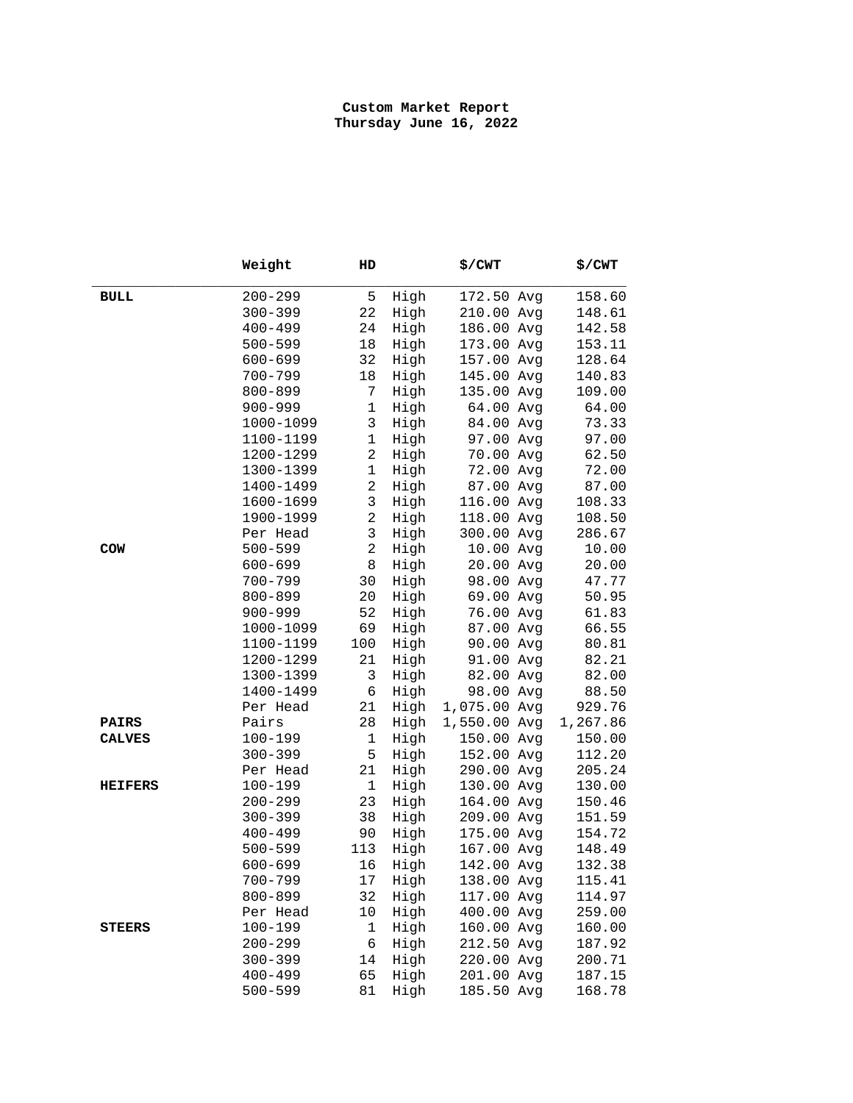|                | Weight                     | HD                |              | \$/CWT                   | \$/CWT           |
|----------------|----------------------------|-------------------|--------------|--------------------------|------------------|
| <b>BULL</b>    | $200 - 299$                | 5                 | High         | 172.50 Avg               | 158.60           |
|                | $300 - 399$                | 22                | High         | 210.00 Avg               | 148.61           |
|                | $400 - 499$                | 24                | High         | 186.00 Avg               | 142.58           |
|                | $500 - 599$                | 18                | High         | 173.00 Avg               | 153.11           |
|                | $600 - 699$                | 32                | High         | 157.00 Avg               | 128.64           |
|                | $700 - 799$                | 18                | High         | 145.00 Avg               | 140.83           |
|                | $800 - 899$                | $7\phantom{.}$    | High         | 135.00 Avg               | 109.00           |
|                | $900 - 999$                | $\mathbf 1$       | High         | 64.00 Avg                | 64.00            |
|                | 1000-1099                  | 3                 | High         | 84.00 Avg                | 73.33            |
|                | 1100-1199                  | $\mathbf 1$       | High         | 97.00 Avg                | 97.00            |
|                | 1200-1299                  | $\overline{2}$    | High         | 70.00 Avg                | 62.50            |
|                | 1300-1399                  | $\mathbf 1$       | High         | 72.00 Avg                | 72.00            |
|                | 1400-1499                  | $\overline{2}$    | High         | 87.00 Avg                | 87.00            |
|                | 1600-1699                  | $\mathbf{3}$      | High         | 116.00 Avg               | 108.33           |
|                | 1900-1999                  | $\overline{a}$    | High         | 118.00 Avg               | 108.50           |
|                | Per Head                   | $\mathbf{3}$      | High         | 300.00 Avg               | 286.67           |
| COW            | $500 - 599$                | $\overline{a}$    | High         | 10.00 Avg                | 10.00            |
|                | $600 - 699$                | 8                 | High         | 20.00 Avg                | 20.00            |
|                | $700 - 799$                | 30                | High         | 98.00 Avg                | 47.77            |
|                | $800 - 899$                | 20                | High         | 69.00 Avg                | 50.95            |
|                | $900 - 999$                | 52                | High         | 76.00 Avg                | 61.83            |
|                | 1000-1099                  | 69                | High         | 87.00 Avg                | 66.55            |
|                | 1100-1199                  | 100               | High         | 90.00 Avg                | 80.81            |
|                | 1200-1299                  | 21                | High         | 91.00 Avg                | 82.21            |
|                | 1300-1399                  | 3                 | High         | 82.00 Avg                | 82.00            |
|                | 1400-1499                  | 6                 | High         | 98.00 Avg                | 88.50            |
|                | Per Head                   | 21                | High         | 1,075.00 Avg             | 929.76           |
| <b>PAIRS</b>   | Pairs                      | 28                | High         | 1,550.00 Avg             | 1,267.86         |
| <b>CALVES</b>  | $100 - 199$                | $\mathbf 1$       | High         | 150.00 Avg               | 150.00           |
|                | $300 - 399$                | 5                 | High         | 152.00 Avg               | 112.20           |
|                | Per Head                   | 21                | High         | 290.00 Avg<br>130.00 Avg | 205.24           |
| <b>HEIFERS</b> | $100 - 199$                | $\mathbf 1$<br>23 | High         | 164.00 Avg               | 130.00<br>150.46 |
|                | $200 - 299$<br>$300 - 399$ |                   | High         |                          |                  |
|                | $400 - 499$                | 38<br>90          | High<br>High | 209.00 Avg<br>175.00 Avg | 151.59<br>154.72 |
|                |                            |                   | High         | 167.00 Avg               |                  |
|                | $500 - 599$<br>$600 - 699$ | 113<br>16         | High         | 142.00 Avg               | 148.49<br>132.38 |
|                | $700 - 799$                | 17                | High         | 138.00 Avg               | 115.41           |
|                | $800 - 899$                | 32                | High         | 117.00 Avg               | 114.97           |
|                | Per Head                   | 10                | High         | 400.00 Avg               | 259.00           |
| <b>STEERS</b>  | $100 - 199$                | $\mathbf 1$       | High         | 160.00 Avg               | 160.00           |
|                | $200 - 299$                | 6                 | High         | 212.50 Avg               | 187.92           |
|                | $300 - 399$                | 14                | High         | 220.00 Avg               | 200.71           |
|                | $400 - 499$                | 65                | High         | 201.00 Avg               | 187.15           |
|                | $500 - 599$                | 81                | High         | 185.50 Avg               | 168.78           |
|                |                            |                   |              |                          |                  |